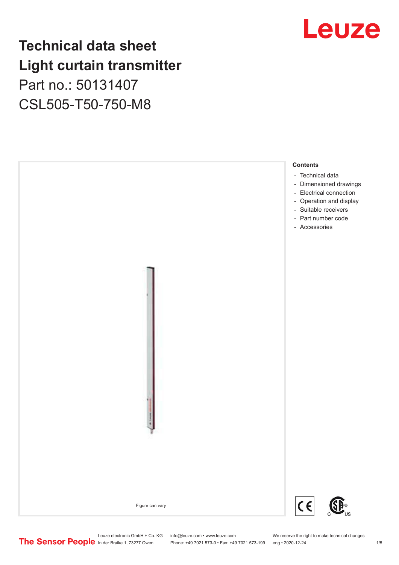# **Technical data sheet Light curtain transmitter** Part no.: 50131407

CSL505-T50-750-M8





Leuze electronic GmbH + Co. KG info@leuze.com • www.leuze.com We reserve the right to make technical changes<br>
The Sensor People in der Braike 1, 73277 Owen Phone: +49 7021 573-0 • Fax: +49 7021 573-199 eng • 2020-12-24

Phone: +49 7021 573-0 • Fax: +49 7021 573-199 eng • 2020-12-24 1 2020-12-24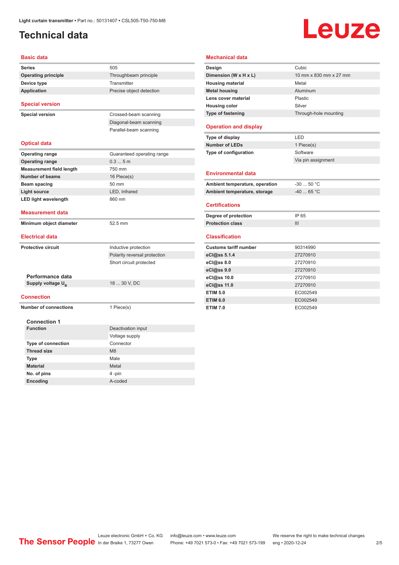### <span id="page-1-0"></span>**Technical data**

# Leuze

| <b>Basic data</b>               |                              |
|---------------------------------|------------------------------|
| <b>Series</b>                   | 505                          |
| <b>Operating principle</b>      | Throughbeam principle        |
| Device type                     | Transmitter                  |
| <b>Application</b>              | Precise object detection     |
|                                 |                              |
| <b>Special version</b>          |                              |
| <b>Special version</b>          | Crossed-beam scanning        |
|                                 | Diagonal-beam scanning       |
|                                 | Parallel-beam scanning       |
| <b>Optical data</b>             |                              |
| <b>Operating range</b>          | Guaranteed operating range   |
| <b>Operating range</b>          | 0.35m                        |
| <b>Measurement field length</b> | 750 mm                       |
| <b>Number of beams</b>          | 16 Piece(s)                  |
| <b>Beam spacing</b>             | 50 mm                        |
| <b>Light source</b>             | LED, Infrared                |
| <b>LED light wavelength</b>     | 860 nm                       |
| <b>Measurement data</b>         |                              |
| Minimum object diameter         | 52.5 mm                      |
| <b>Electrical data</b>          |                              |
| <b>Protective circuit</b>       | Inductive protection         |
|                                 | Polarity reversal protection |
|                                 | Short circuit protected      |
|                                 |                              |
| Performance data                |                              |
| Supply voltage U <sub>B</sub>   | 18  30 V, DC                 |
| <b>Connection</b>               |                              |
| <b>Number of connections</b>    | 1 Piece(s)                   |
|                                 |                              |
| <b>Connection 1</b>             |                              |
| <b>Function</b>                 | Deactivation input           |
|                                 | Voltage supply               |
| <b>Type of connection</b>       | Connector                    |
| <b>Thread size</b>              | M <sub>8</sub>               |
| <b>Type</b>                     | Male                         |
| <b>Material</b>                 | Metal                        |
| No. of pins                     | 4-pin                        |
| Encoding                        | A-coded                      |

| <b>Mechanical data</b>         |                        |  |
|--------------------------------|------------------------|--|
| Design                         | Cubic                  |  |
| Dimension (W x H x L)          | 10 mm x 830 mm x 27 mm |  |
| <b>Housing material</b>        | Metal                  |  |
| <b>Metal housing</b>           | Aluminum               |  |
| Lens cover material            | Plastic                |  |
| <b>Housing color</b>           | Silver                 |  |
| <b>Type of fastening</b>       | Through-hole mounting  |  |
| <b>Operation and display</b>   |                        |  |
| Type of display                | LED                    |  |
| <b>Number of LEDs</b>          | 1 Piece(s)             |  |
| Type of configuration          | Software               |  |
|                                | Via pin assignment     |  |
| <b>Environmental data</b>      |                        |  |
| Ambient temperature, operation | $-30$ 50 °C            |  |
| Ambient temperature, storage   | $-4065 °C$             |  |
| <b>Certifications</b>          |                        |  |
| Degree of protection           | IP 65                  |  |
| <b>Protection class</b>        | Ш                      |  |
| <b>Classification</b>          |                        |  |
| <b>Customs tariff number</b>   | 90314990               |  |
| eCl@ss 5.1.4                   | 27270910               |  |
| eCl@ss 8.0                     | 27270910               |  |
| eCl@ss 9.0                     | 27270910               |  |
| eCl@ss 10.0                    | 27270910               |  |
| eCl@ss 11.0                    | 27270910               |  |
| <b>ETIM 5.0</b>                | EC002549               |  |
| <b>ETIM 6.0</b>                | EC002549               |  |
| <b>ETIM 7.0</b>                | EC002549               |  |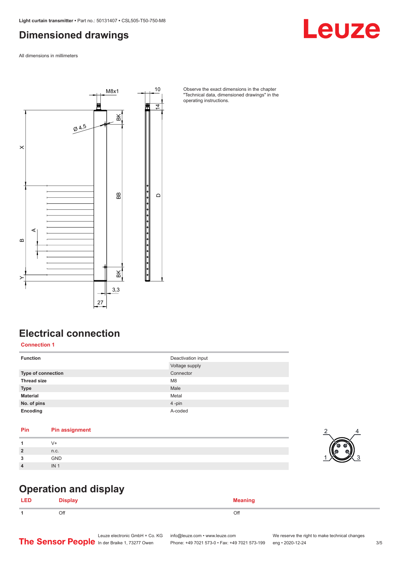#### <span id="page-2-0"></span>**Dimensioned drawings**

All dimensions in millimeters



Observe the exact dimensions in the chapter "Technical data, dimensioned drawings" in the operating instructions.

# **Electrical connection**

**Connection 1**

| <b>Function</b>           | Deactivation input<br>Voltage supply |
|---------------------------|--------------------------------------|
| <b>Type of connection</b> | Connector                            |
| <b>Thread size</b>        | M <sub>8</sub>                       |
| <b>Type</b>               | Male                                 |
| <b>Material</b>           | Metal                                |
| No. of pins               | 4-pin                                |
| Encoding                  | A-coded                              |

#### **Pin Pin assignment**

| $\overline{2}$   | n.c.       |
|------------------|------------|
| ໍາ               | <b>GND</b> |
| $\boldsymbol{4}$ | IN         |



Leuze

#### **Operation and display**

| LED | <br><b>Nienlay</b><br>$    -$ | <b>Meaning</b> |
|-----|-------------------------------|----------------|
|     | Off                           | Off            |

Leuze electronic GmbH + Co. KG info@leuze.com • www.leuze.com We reserve the right to make technical changes<br> **The Sensor People** in der Braike 1, 73277 Owen Phone: +49 7021 573-0 • Fax: +49 7021 573-199 eng • 2020-12-24 Phone: +49 7021 573-0 • Fax: +49 7021 573-199 eng • 2020-12-24 3/5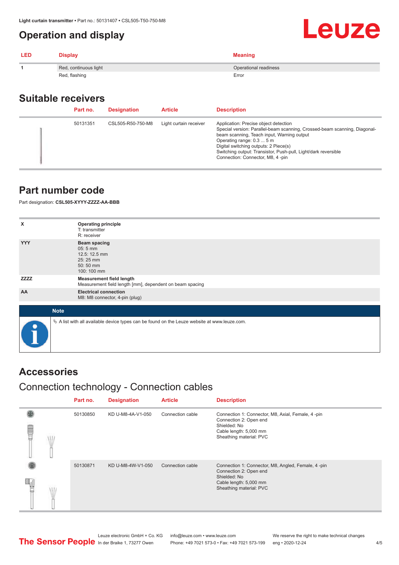#### <span id="page-3-0"></span>**Operation and display**

| <b>LED</b> | <b>Display</b>        | <b>Meaning</b>        |
|------------|-----------------------|-----------------------|
|            | Red, continuous light | Operational readiness |
|            | Red, flashing         | Error                 |

#### **Suitable receivers**

| Part no. | <b>Designation</b> | <b>Article</b>         | <b>Description</b>                                                                                                                                                                                                                                                                                                                           |
|----------|--------------------|------------------------|----------------------------------------------------------------------------------------------------------------------------------------------------------------------------------------------------------------------------------------------------------------------------------------------------------------------------------------------|
| 50131351 | CSL505-R50-750-M8  | Light curtain receiver | Application: Precise object detection<br>Special version: Parallel-beam scanning, Crossed-beam scanning, Diagonal-<br>beam scanning, Teach input, Warning output<br>Operating range: 0.3  5 m<br>Digital switching outputs: 2 Piece(s)<br>Switching output: Transistor, Push-pull, Light/dark reversible<br>Connection: Connector, M8, 4-pin |

#### **Part number code**

Part designation: **CSL505-XYYY-ZZZZ-AA-BBB**

| x           | <b>Operating principle</b><br>T: transmitter                                                    |
|-------------|-------------------------------------------------------------------------------------------------|
|             | R: receiver                                                                                     |
| <b>YYY</b>  | <b>Beam spacing</b><br>05:5 mm<br>12.5: 12.5 mm<br>25:25 mm<br>50:50 mm<br>100: 100 mm          |
| <b>ZZZZ</b> | <b>Measurement field length</b><br>Measurement field length [mm], dependent on beam spacing     |
| AA          | <b>Electrical connection</b><br>M8: M8 connector, 4-pin (plug)                                  |
|             |                                                                                                 |
| <b>Note</b> |                                                                                                 |
| $\bullet$   | $\&$ A list with all available device types can be found on the Leuze website at www.leuze.com. |

#### **Accessories**

### Connection technology - Connection cables

|   | Part no. | <b>Designation</b> | <b>Article</b>   | <b>Description</b>                                                                                                                                |
|---|----------|--------------------|------------------|---------------------------------------------------------------------------------------------------------------------------------------------------|
| ₩ | 50130850 | KD U-M8-4A-V1-050  | Connection cable | Connection 1: Connector, M8, Axial, Female, 4-pin<br>Connection 2: Open end<br>Shielded: No<br>Cable length: 5,000 mm<br>Sheathing material: PVC  |
|   | 50130871 | KD U-M8-4W-V1-050  | Connection cable | Connection 1: Connector, M8, Angled, Female, 4-pin<br>Connection 2: Open end<br>Shielded: No<br>Cable length: 5,000 mm<br>Sheathing material: PVC |

Leuze